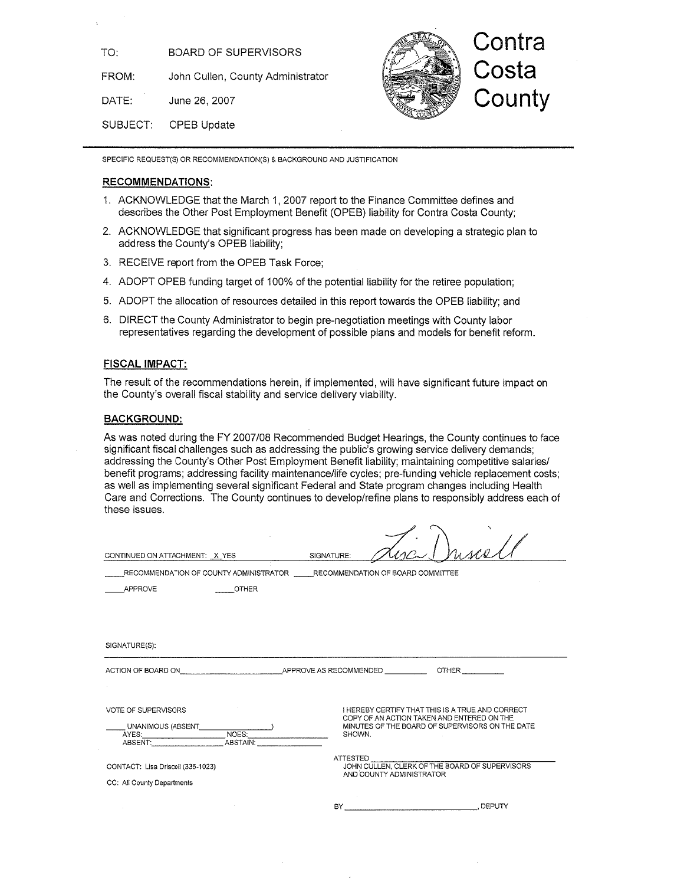**BOARD OF SUPERVISORS** TO:

FROM: John Cullen, County Administrator

DATE: June 26, 2007

SUBJECT: **OPEB Update** 



SPECIFIC REQUEST(S) OR RECOMMENDATION(S) & BACKGROUND AND JUSTIFICATION

#### **RECOMMENDATIONS:**

- 1. ACKNOWLEDGE that the March 1, 2007 report to the Finance Committee defines and describes the Other Post Employment Benefit (OPEB) liability for Contra Costa County;
- 2. ACKNOWLEDGE that significant progress has been made on developing a strategic plan to address the County's OPEB liability;
- 3. RECEIVE report from the OPEB Task Force;
- 4. ADOPT OPEB funding target of 100% of the potential liability for the retiree population;
- 5. ADOPT the allocation of resources detailed in this report towards the OPEB liability; and
- 6. DIRECT the County Administrator to begin pre-negotiation meetings with County labor representatives regarding the development of possible plans and models for benefit reform.

#### **FISCAL IMPACT:**

The result of the recommendations herein, if implemented, will have significant future impact on the County's overall fiscal stability and service delivery viability.

#### **BACKGROUND:**

As was noted during the FY 2007/08 Recommended Budget Hearings, the County continues to face significant fiscal challenges such as addressing the public's growing service delivery demands; addressing the County's Other Post Employment Benefit liability; maintaining competitive salaries/ benefit programs; addressing facility maintenance/life cycles; pre-funding vehicle replacement costs; as well as implementing several significant Federal and State program changes including Health Care and Corrections. The County continues to develop/refine plans to responsibly address each of these issues.

| CONTINUED ON ATTACHMENT: X YES                                                                                                                  | SIGNATURE:               | risca                                                                                         |
|-------------------------------------------------------------------------------------------------------------------------------------------------|--------------------------|-----------------------------------------------------------------------------------------------|
| RECOMMENDATION OF COUNTY ADMINISTRATOR RECOMMENDATION OF BOARD COMMITTEE                                                                        |                          |                                                                                               |
| <b>APPROVE</b><br><b>OTHER</b>                                                                                                                  |                          |                                                                                               |
|                                                                                                                                                 |                          |                                                                                               |
|                                                                                                                                                 |                          |                                                                                               |
| SIGNATURE(S):                                                                                                                                   |                          |                                                                                               |
| ACTION OF BOARD ON                                                                                                                              | APPROVE AS RECOMMENDED   | <b>OTHER</b>                                                                                  |
|                                                                                                                                                 |                          |                                                                                               |
| <b>VOTE OF SUPERVISORS</b>                                                                                                                      |                          | I HEREBY CERTIFY THAT THIS IS A TRUE AND CORRECT                                              |
| _UNANIMOUS (ABSENT_____________NOES:_____<br>AYES:___________________________________ABSTAIN:__<br>ABSENT:___________________________ABSTAIN:__ |                          | COPY OF AN ACTION TAKEN AND ENTERED ON THE<br>MINUTES OF THE BOARD OF SUPERVISORS ON THE DATE |
|                                                                                                                                                 | SHOWN.                   |                                                                                               |
| CONTACT: Lisa Driscoll (335-1023)                                                                                                               | ATTESTED                 | JOHN CULLEN, CLERK OF THE BOARD OF SUPERVISORS                                                |
| CC: All County Departments                                                                                                                      | AND COUNTY ADMINISTRATOR |                                                                                               |
|                                                                                                                                                 | BY -                     | . DEPUTY                                                                                      |
|                                                                                                                                                 |                          |                                                                                               |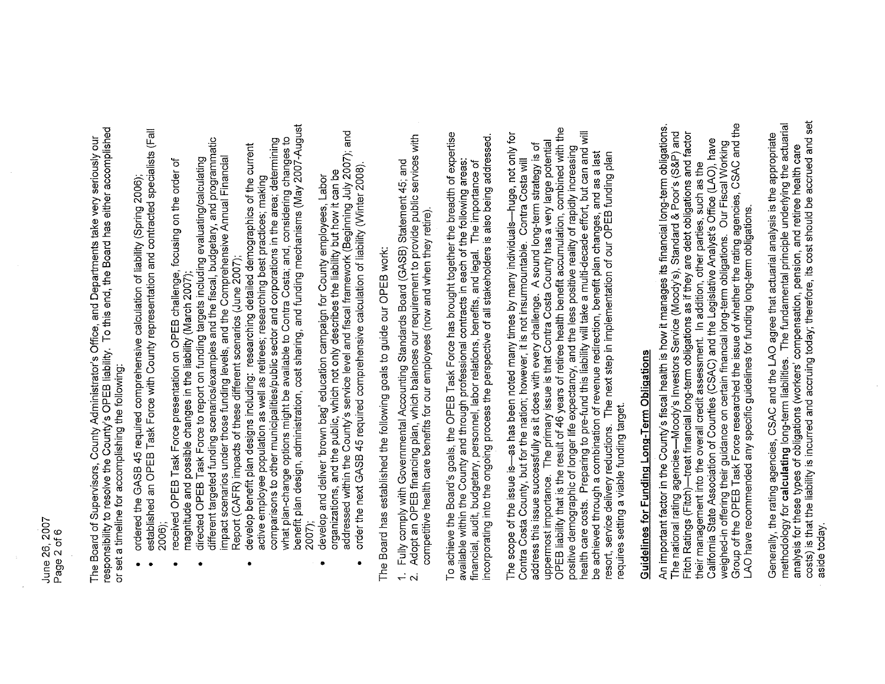June 26, 2007 Page 2 of 6 The Board of Supervisors, County Administrator's Office, and Departments take very seriously our<br>responsibility to resolve the County's OPEB liability. To this end, the Board has either accomplished or set a timeline for accomplishing the following:

- ordered the GASB 45 required comprehensive calculation of liability (Spring 2006);
- established an OPEB Task Force with County representation and contracted specialists (Fall 2006);
	- received OPEB Task Force presentation on OPEB challenge, focusing on the order of magnitude and possible changes in the liability (March 2007)
- different targeted funding scenarios/examples and the fiscal, budgetary, and programmatic impact scenarios under those funding levels, and the Comprehensive Annual Financial directed OPEB Task Force to report on funding targets including evaluating/calculating Report (CAFR) impacts of these different scenarios (June 2007);
- benefit plan design, administration, cost sharing, and funding mechanisms (May 2007-August comparisons to other municipalities/public sector and corporations in the area; determining what plan-change options might be available to Contra Costa; and, considering changes to develop benefit plan designs including: researching detailed demographics of the current active employee population as well as retirees; researching best practices; making 2007)  $\bullet$ 
	- addressed within the County's service level and fiscal framework (Beginning July 2007); and organizations, and the public, which not only describes the liability but how it can be develop and deliver 'brown bag' education campaign for County employees, Labor  $\bullet$ 
		- order the next GASB 45 required comprehensive calculation of liability (Winter 2008).

The Board has established the following goals to guide our OPEB work:

- Adopt an OPEB financing plan, which balances our requirement to provide public services with Fully comply with Governmental Accounting Standards Board (GASB) Statement 45; and  $\ddot{\cdot}$ Νi
	- competitive health care benefits for our employees (now and when they retire).

To achieve the Board's goals, the OPEB Task Force has brought together the breadth of expertise incorporating into the ongoing process the perspective of all stakeholders is also being addressed. available within the County and through professional contracts in each of the following areas: financial, audit, budgetary, personnel, labor relations, benefits, and legal. The importance of

uppermost importance. The primary issue is that Contra Costa County has a very large potential<br>OPEB liability that is the result of 46 years of retiree health benefit accumulation, combined with the nealth care costs. Preparing to pre-fund this liability will take a multi-decade effort, but can and will The scope of the issue is-as has been noted many times by many individuals-huge, not only for address this issue successfully as it does with every challenge. A sound long-term strategy is of positive demographic of longer life expectancy, and the less positive reality of rapidly increasing be achieved through a combination of revenue redirection, benefit plan changes, and as a last<br>resort, service delivery reductions. The next step in implementation of our OPEB funding plan Contra Costa County, but for the nation; however, it is not insurmountable. Contra Costa will requires setting a viable funding target.

# Guidelines for Funding Long-Term Obligations

Group of the OPEB Task Force researched the issue of whether the rating agencies, CSAC and the An important factor in the County's fiscal health is how it manages its financial long-term obligations. -Moody's Investors Service (Moody's), Standard & Poor's (S&P) and -treat financial long-term obligations as if they are debt obligations and factor California State Association of Counties (CSAC) and the Legislative Analyst's Office (LAO), have weighed-in offering their guidance on certain financial long-term obligations. Our Fiscal Working their management into the overall credit assessment. In addition, other parties, such as the LAO have recommended any specific guidelines for funding long-term obligations. The national rating agencies-Fitch Ratings (Fitch)-

costs) is that the liability is incurred and accruing today; therefore, its cost should be accrued and set methodology for **calculating** long-term liabilities. The fundamental principle underlying the actuarial<br>analysis for these types of obligations (workers' compensation, pension, and retiree health care Generally, the rating agencies, CSAC and the LAO agree that actuarial analysis is the appropriate aside today.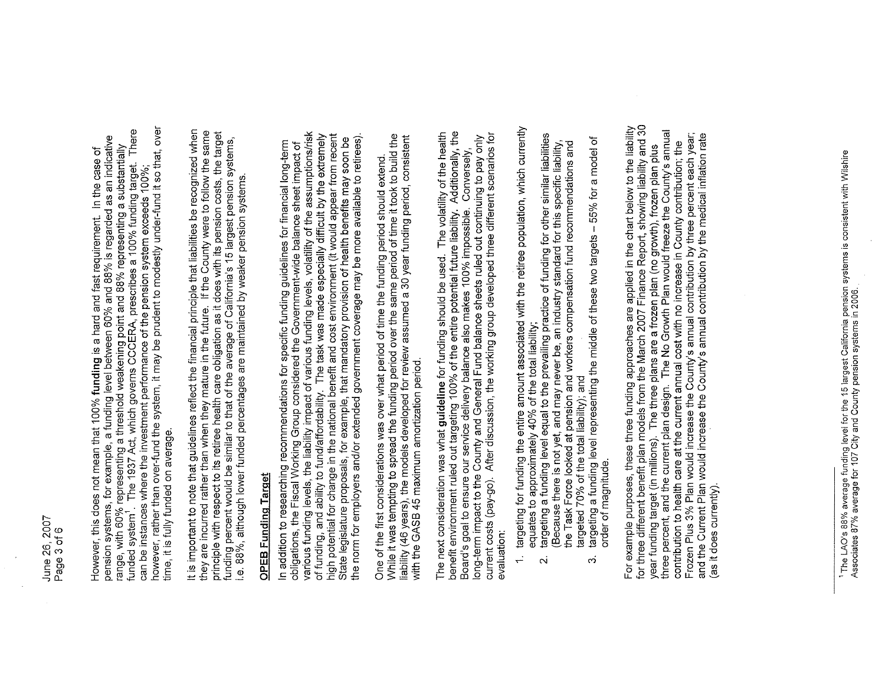however, rather than over-fund the system, it may be prudent to modestly under-fund it so that, over range, with 60% representing a threshold weakening point and 88% representing a substantially<br>funded system . The 1937 Act, which governs CCCERA, prescribes a 100% funding target. There pension systems, for example, a funding level between 60% and 88% is regarded as an indicative However, this does not mean that 100% funding is a hard and fast requirement. In the case of can be instances where the investment performance of the pension system exceeds 100%; time, it is fully funded on average.

It is important to note that guidelines reflect the financial principle that liabilities be recognized when they are incurred rather than when they mature in the future. If the County were to follow the same<br>principle with respect to its retiree health care obligation as it does with its pension costs, the target unding percent would be similar to that of the average of California's 15 largest pension systems, e. 88%, although lower funded percentages are maintained by weaker pension systems.

### **OPEB Funding Target**

various funding levels, the liability impact of various funding levels, volatility of the assumptions/risk of funding, and ability to fund/affordability. The task was made especially difficult by the extremely<br>high potential for change in the national benefit and cost environment (it would appear from recent the norm for employers and/or extended government coverage may be more available to retirees). State legislature proposals, for example, that mandatory provision of health benefits may soon be In addition to researching recommendations for specific funding guidelines for financial long-term obligations, the Fiscal Working Group considered the Government-wide balance sheet impact of

While it was tempting to spread the funding period over the same period of time it took to build the liability (46 years), the models developed for review assumed a 30 year funding period, consistent<br>with the GASB 45 maximum amortization period. One of the first considerations was over what period of time the funding period should extend

benefit environment ruled out targeting 100% of the entire potential future liability. Additionally, the<br>Board's goal to ensure our service delivery balance also makes 100% impossible. Conversely,<br>long-term impact to the C The next consideration was what guideline for funding should be used. The volatility of the health current costs (pay-go). After discussion, the working group developed three different scenarios for evaluation:

- targeting for funding the entire amount associated with the retiree population, which currently equates to approximately 40% of the total liability;  $\div$ 
	- targeting a funding level equal to the prevailing practice of funding for other similar liabilities<br>(Because there is not yet, and may never be, an industry standard for this specific liability, the Task Force looked at pension and workers compensation fund recommendations and targeted 70% of the total liability); and  $\mathbf{\ddot{\alpha}}$ 
		- targeting a funding level representing the middle of these two targets 55% for a model of order of magnitude. က

For example purposes, these three funding approaches are applied in the chart below to the liability<br>for three different benefit plan models from the March 2007 Finance Report, showing liability and 30 year funding target (in millions). The three plans are a frozen plan (no growth), frozen plan plus<br>three percent, and the current plan design. The No Growth Plan would freeze the County's annual Frozen Plus 3% Plan would increase the County's annual contribution by three percent each year;<br>and the Current Plan would increase the County's annual contribution by the medical inflation rate contribution to health care at the current annual cost with no increase in County contribution; the (as it does currently).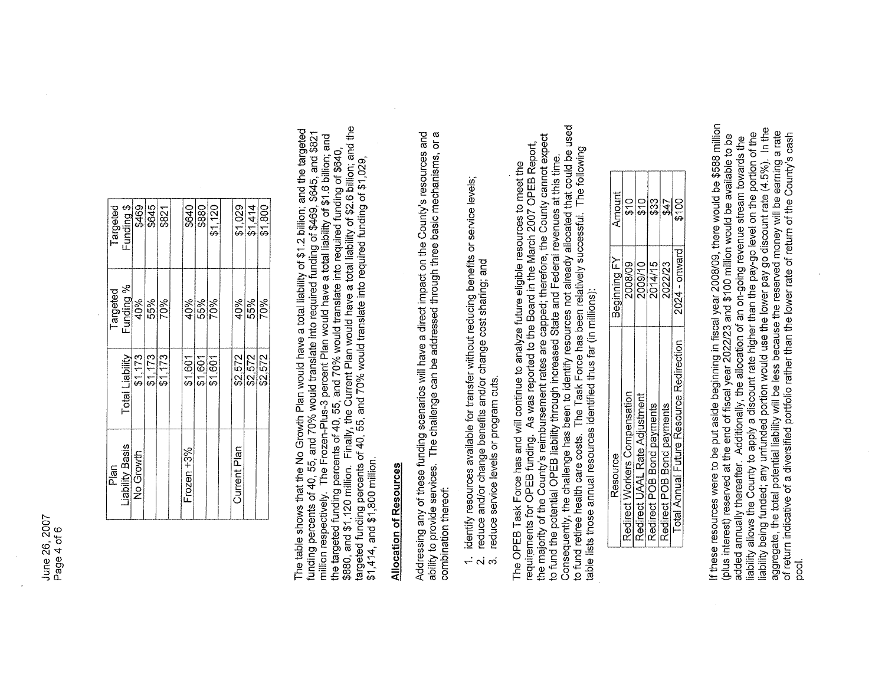| Targeted | Funding \$      |                                         | \$469<br>\$645 | \$821      | \$640         | \$880             | \$1,120 | \$1,029      | \$1,414 | \$1,800 |
|----------|-----------------|-----------------------------------------|----------------|------------|---------------|-------------------|---------|--------------|---------|---------|
|          |                 | Targeted<br>Funding %<br>40%            |                | 55%<br>70% |               | 40%<br>55%<br>70% |         | 40%          | 55%     | 70%     |
|          | Total Liability | $\frac{173}{1173}$<br>$\frac{173}{173}$ |                |            | \$1,601       | \$1,601           | \$1,601 | \$2,572      | \$2,572 | \$2,572 |
| Plan     | Liability Basis | No Growth                               |                |            | Frozen $+3\%$ |                   |         | Current Plan |         |         |

The table shows that the No Growth Plan would have a total liability of \$1.2 billion; and the targeted funding percents of 40, 55, and 70% would translate into required funding of \$469, \$645, and \$821 million respectively

### Allocation of Resources

Addressing any of these funding scenarios will have a direct impact on the County's resources and ability to provide services. The challenge can be addressed through three basic mechanisms, or a combination thereof:

- 1. identify resources available for transfer without reducing benefits or service levels;
	- reduce and/or change benefits and/or change cost sharing; and <u>လ</u>ုံး လုံ
		- reduce service levels or program cuts.

Consequently, the challenge has been to identify resources not already allocated that could be used The OPEB Task Force has and will continue to analyze future eligible resources to meet the<br>requirements for OPEB funding. As was reported to the Board in the March 2007 OPEB Report,<br>the majority of the County's reimburseme The Task Force has been relatively successful. The following to fund the potential OPEB liability through increased State and Federal revenues at this time. table lists those annual resources identified thus far (in millions): to fund retiree health care costs.

| Resource                                 | Beginning FY    | Amount    |
|------------------------------------------|-----------------|-----------|
| Redirect Workers Compensation            | 2008/09         | င်<br>မ   |
| Redirect UAAL Rate Adjustment            | 2009/10         | <u>ငှ</u> |
| Redirect POB Bond payments               | 2014/15         | \$33      |
| Redirect POB Bond payments               | 2022/23         | 247       |
| Total Annual Future Resource Redirection | $2024 -$ onward | \$100     |

If these resources were to be put aside beginning in fiscal year 2008/09, there would be \$588 million<br>(plus interest) reserved at the end of fiscal year 2022/23 and \$100 million would be available to be In the liability being funded; any unfunded portion would use the lower pay go discount rate (4.5%). In the<br>aggregate, the total potential liability will be less because the reserved money will be earning a rate<br>of return indicat liability allows the County to apply a discount rate higher than the pay-go level on the portion of the added annually thereatter. Additionally, the allocation of an on-going revenue stream towards the pool.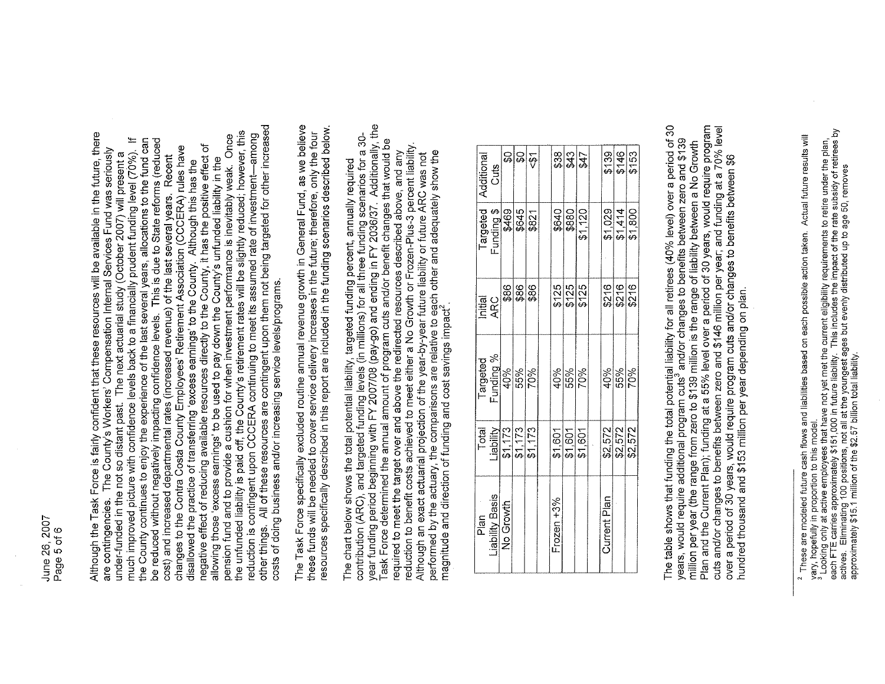June 26, 2007 Page 5 of 6

other things. All of these resources are contingent upon them not being targeted for other increased the unfunded liability is paid off, the County's retirement rates will be slightly reduced; however, this Although the Task Force is fairly confident that these resources will be available in the future, there<br>are contingencies. The County's Workers' Compensation Internal Services Fund was seriously reduction is contingent upon CCCERA continuing to meet its assumed rate of investment-among pension fund and to provide a cushion for when investment performance is inevitably weak. Once  $\pm$ the County continues to enjoy the experience of the last several years, allocations to the fund can be reduced without negatively impacting confidence levels. This is due to State reforms (reduced negative effect of reducing available resources directly to the County, it has the positive effect of changes to the Contra Costa County Employees' Retirement Association (CCCERA) rules have much improved picture with confidence levels back to a financially prudent funding level (70%). under-funded in the not so distant past. The next actuarial study (October 2007) will present a cost) and increased departmental rates (increased revenue) of the last several years. Recent allowing those 'excess earnings' to be used to pay down the County's unfunded liability in the disallowed the practice of transferring 'excess earnings' to the County. Although this has the costs of doing business and/or increasing service levels/programs. The Task Force specifically excluded routine annual revenue growth in General Fund, as we believe these funds will be needed to cover service delivery increases in the future; therefore, only the four<br>resources specifically described in this report are included in the funding scenarios described below.

contribution (ARC), and targeted funding levels (in millions) for all three funding scenarios for a 30-<br>year funding period beginning with FY 2007/08 (pay-go) and ending in FY 2036/37. Additionally, the ask Force determined the annual amount of program cuts and/or benefit changes that would be reduction to benefit costs achieved to meet either a No Growth or Frozen-Plus-3 percent liability.<br>Although an exact actuarial projection of the year-by-year future liability or future ARC was not required to meet the target over and above the redirected resources described above, and any performed by the actuary, the comparisons are relative to each other and adequately show the The chart below shows the total potential liability, targeted funding percent, annually required magnitude and direction of funding and cost savings impact<sup>2</sup>

|  |                                                |      |                                                                                                                                             |                                                                                |         |         |                                                    |                           |         | \$153                                                                                  |
|--|------------------------------------------------|------|---------------------------------------------------------------------------------------------------------------------------------------------|--------------------------------------------------------------------------------|---------|---------|----------------------------------------------------|---------------------------|---------|----------------------------------------------------------------------------------------|
|  |                                                |      |                                                                                                                                             |                                                                                |         |         |                                                    |                           |         |                                                                                        |
|  |                                                | \$86 |                                                                                                                                             |                                                                                |         |         |                                                    |                           |         | \$216                                                                                  |
|  |                                                |      |                                                                                                                                             | 40%                                                                            |         |         |                                                    |                           |         |                                                                                        |
|  |                                                |      |                                                                                                                                             | \$1,601                                                                        | \$1,601 | \$1,601 |                                                    | \$2,572                   | \$2,572 | \$2,572                                                                                |
|  |                                                |      |                                                                                                                                             | Frozen $+3\%$                                                                  |         |         |                                                    | Current Plan              |         |                                                                                        |
|  | Initial<br>ARC<br>Liability Basis<br>No Growth |      | $\frac{88}{98}$<br>$\frac{\text{Fargeted}}{\frac{\text{Funding }\%}{40\%}}$<br>70%<br>Total<br>Liability<br>Liability<br>S1, 173<br>S1, 173 | Targeted Additional<br>Funding \$ Cuts<br>5469 \$0<br>\$645 \$00<br>\$821 <\$1 |         |         | <u>အဆြံ႕</u><br>8125<br>9125<br>9125<br>55%<br>70% | \$640<br>\$880<br>\$1,120 |         | $rac{$139}{$146}$<br>$\frac{1,029}{1,414}$<br>$\frac{$216}{2216}$<br>40%<br>55%<br>70% |

The table shows that funding the total potential liability for all retirees (40% level) over a period of 30<br>years, would require additional program cuts<sup>3</sup> and/or changes to benefits between zero and \$139 Plan and the Current Plan); funding at a 55% level over a period of 30 years, would require program cuts and/or changes to benefits between zero and \$146 million per year; and funding at a 70% level million per year (the range from zero to \$139 million is the range of liability between a No Growth over a period of 30 years, would require program cuts and/or changes to benefits between \$6 hundred thousand and \$153 million per year depending on plan.

<sup>&</sup>lt;sup>2</sup> These are modeled future cash flows and liabilities based on each possible action taken. Actual future results will<br>yary, hopefully in proportion to this model.<br><sup>3</sup> Looking only at active employees that have not yet me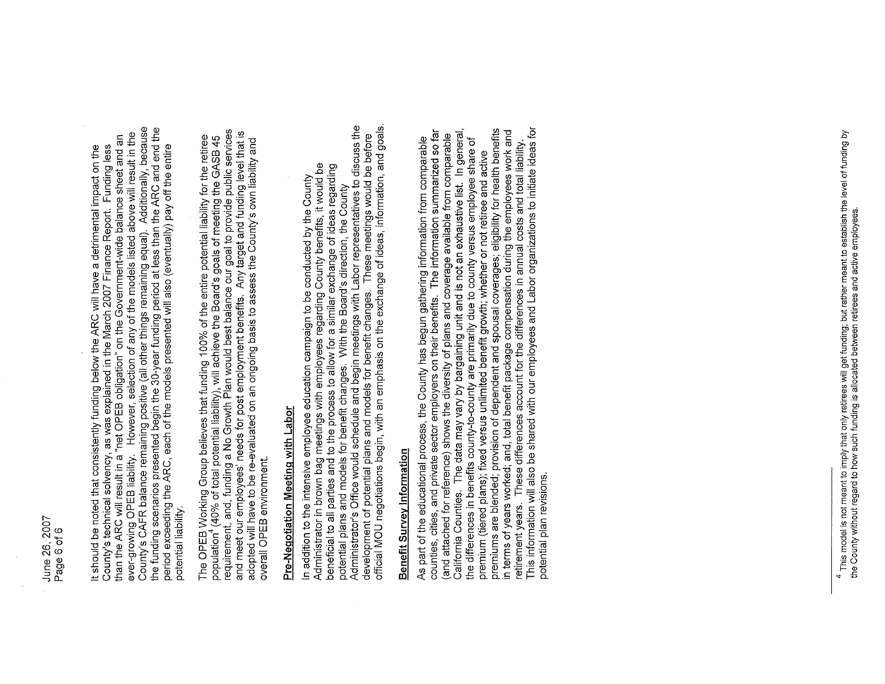County's CAFR balance remaining positive (all other things remaining equal). Additionally, because<br>the funding scenarios presented begin the 30-year funding period at less than the ARC and end the ever-growing OPEB liability. However, selection of any of the models listed above will result in the It should be noted that consistently funding below the ARC will have a detrimental impact on the<br>County's technical solvency, as was explained in the March 2007 Finance Report. Funding less<br>than the ARC will result in a "n period exceeding the ARC, each of the models presented will also (eventually) pay off the entire potential liability

requirement, and, funding a No Growth Plan would best balance our goal to provide public services and meet our employees' needs for post employment benefits. Any target and funding level that is The OPEB Working Group believes that funding 100% of the entire potential liability for the retiree<br>population<sup>4</sup> (40% of total potential liability), will achieve the Board's goals of meeting the GASB 45 adopted will have to be re-evaluated on an ongoing basis to assess the County's own liability and overall OPEB environment.

# Pre-Negotiation Meeting with Labor

official MOU negotiations begin, with an emphasis on the exchange of ideas, information, and goals. potential plans and models for benefit changes. With the Board's direction, the County<br>Administrator's Office would schedule and begin meetings with Labor representatives to discuss the development of potential plans and models for benefit changes. These meetings would be before Administrator in brown bag meetings with employees regarding County benefits, it would be<br>beneficial to all parties and to the process to allow for a similar exchange of ideas regarding In addition to the intensive employee education campaign to be conducted by the County

# Benefit Survey Information

This information will also be shared with our employees and Labor organizations to initiate ideas for premium (tiered plans), fixed versus unlimited benefit growth; whether or not retiree and active<br>premiums are blended; provision of dependent and spousal coverages; eligibility for health benefits in terms of years worked; and, total benefit package compensation during the employees work and counties, cities, and private sector employers on their benefits. The information summarized so far California Counties. The data may vary by bargaining unit and is not an exhaustive list. In general, and attached for reference) shows the diversity of plans and coverage available from comparable As part of the educational process, the County has begun gathering information from comparable the differences in benefits county-to-county are primarily due to county versus employee share of These differences account for the differences in annual costs and total liability potential plan revisions. retirement years.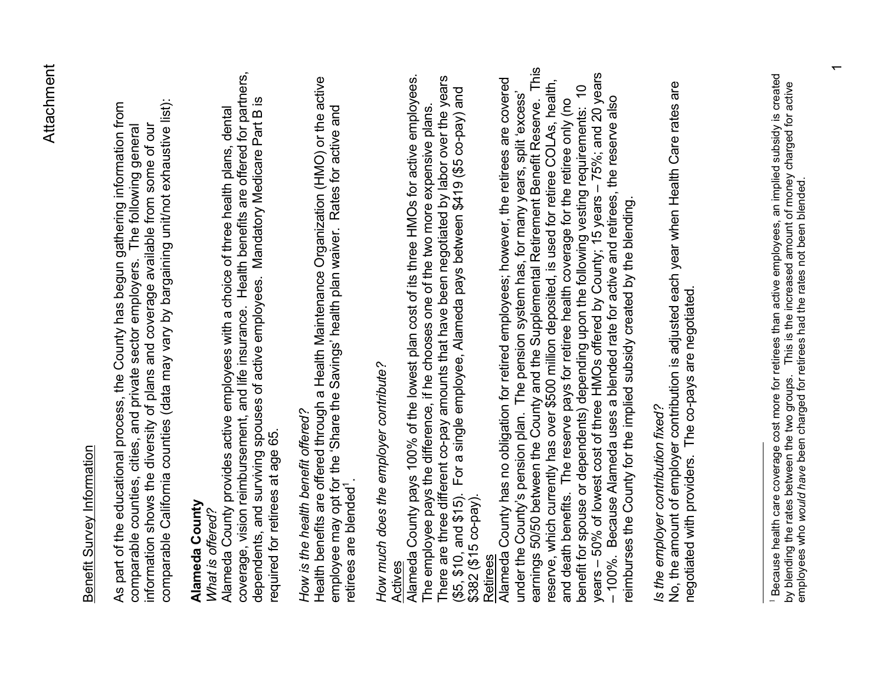#### Benefit Survey Information Benefit Survey Information

comparable California counties (data may vary by bargaining unit/not exhaustive list): comparable California counties (data may vary by bargaining unit/not exhaustive list): As part of the educational process, the County has begun gathering information from As part of the educational process, the County has begun gathering information from information shows the diversity of plans and coverage available from some of our comparable counties, cities, and private sector employers. The following general information shows the diversity of plans and coverage available from some of our comparable counties, cities, and private sector employers. The following general

#### **Alameda County**  Alameda County

#### *What is offered?*  What is offered?

coverage, vision reimbursement, and life insurance. Health benefits are offered for partners, coverage, vision reimbursement, and life insurance. Health benefits are offered for partners, dependents, and surviving spouses of active employees. Mandatory Medicare Part B is dependents, and surving spouses of active employees. Mandatory Medicare Part B is Alameda County provides active employees with a choice of three health plans, dental Alameda County provides active employees with a choice of three health plans, dental required for retirees at age 65. required for retirees at age 65.

#### *How is the health benefit offered?*  How is the health benefit offered?

Health benefits are offered through a Health Maintenance Organization (HMO) or the active Health benefits are offered through a Health Maintenance Organization (HMO) or the active<br>employee may opt for the 'Share the Savings' health plan waiver. Rates for active and employee may opt for the 'Share the Savings' health plan waiver. Rates for active and retirees are blended<sup>1</sup> retirees are blended<sup>1</sup>

## *How much does the employer contribute?*  How much does the employer contribute?

Alameda County pays 100% of the lowest plan cost of its three HMOs for active employees. There are three different co-pay amounts that have been negotiated by labor over the years <u>Actives</u><br>Alameda County pays 100% of the lowest plan cost of its three HMOs for active employees. There are three different co-pay amounts that have been negotiated by labor over the years (\$5, \$10, and \$15). For a single employee, Alameda pays between \$419 (\$5 co-pay) and (\$5, \$10, and \$15). For a single employee, Alameda pays between \$419 (\$5 co-pay) and The employee pays the difference, if he chooses one of the two more expensive plans. The employee pays the difference, if he chooses one of the two more expensive plans. \$382 (\$15 co-pay). \$382 (\$15 co-pay).

#### **Retirees**

earnings 50/50 between the County and the Supplemental Retirement Benefit Reserve. This earnings 50/50 between the County and the Supplemental Retirement Benefit Reserve. This years – 50% of lowest cost of three HMOs offered by County; 15 years – 75%; and 20 years years - 50% of lowest cost of three HMOs offered by County; 15 years - 75%; and 20 years Alameda County has no obligation for retired employees; however, the retirees are covered reserve, which currently has over \$500 million deposited, is used for retiree COLAs, health, Alameda County has no obligation for retired employees; however, the retirees are covered reserve, which currently has over \$500 million deposited, is used for retiree COLAs, health, benefit for spouse or dependents) depending upon the following vesting requirements: 10 benefit for spouse or dependents) depending upon the following vesting requirements: 10 under the County's pension plan. The pension system has, for many years, split 'excess' under the County's pension plan. The pension system has, for many years, split 'excess' – 100%. Because Alameda uses a blended rate for active and retirees, the reserve also and death benefits. The reserve pays for retiree health coverage for the retiree only (no and death benefits. The reserve pays for retiree health coverage for the retiree only (no - 100%. Because Alameda uses a blended rate for active and retirees, the reserve also reimburses the County for the implied subsidy created by the blending. reimburses the County for the implied subsidy created by the blending.

### *Is the employer contribution fixed?*  Is the employer contribution fixed?

No, the amount of employer contribution is adjusted each year when Health Care rates are No, the amount of employer contribution is adjusted each year when Health Care rates are negotiated with providers. The co-pays are negotiated. negotiated with providers. The co-pays are negotiated.

<sup>1</sup> Because health care coverage cost more for retirees than active employees, an implied subsidy is created ' Because health care coverage cost more for retirees than active employees, an implied subsidy is created<br>by blending the rates between the two groups. This is the increased amount of money charged for active<br>employees wh by blending the rates between the two groups. This is the increased amount of money charged for active employees who *would have* been charged for retirees had the rates not been blended.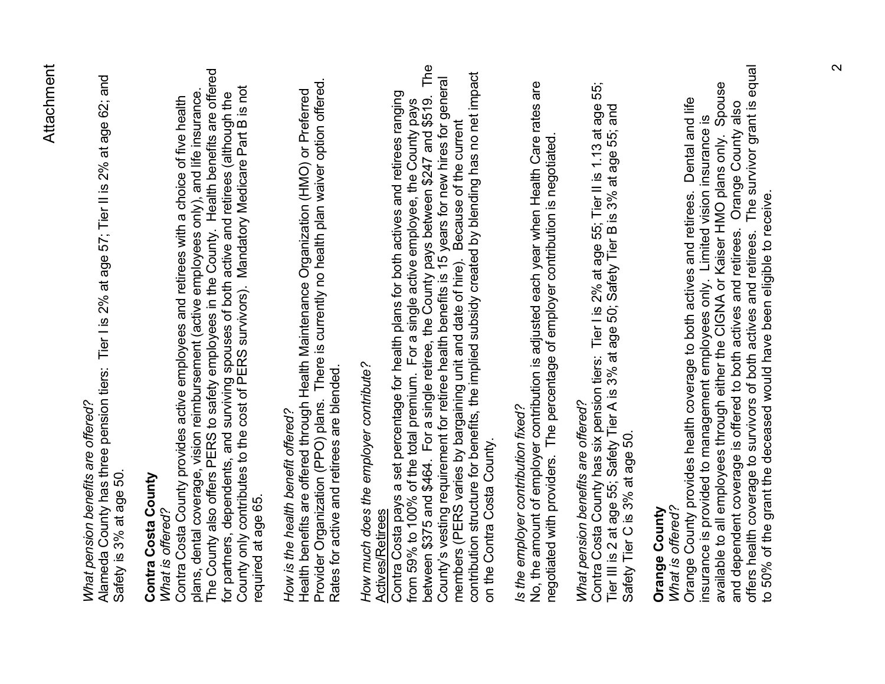### *What pension benefits are offered?*  What pension benefits are offered?

Alameda County has three pension tiers: Tier I is 2% at age 57; Tier II is 2% at age 62; and Alameda County has three pension tiers: Tier I is 2% at age 57; Tier II is 2% at age 62; and Safety is 3% at age 50. Safety is 3% at age 50.

#### **Contra Costa County**  Contra Costa County

#### *What is offered?*  What is offered?

The County also offers PERS to safety employees in the County. Health benefits are offered The County also offers PERS to safety employees in the County. Health benefits are offered for partners, dependents, and surviving spouses of both active and retirees (although the<br>County only contributes to the cost of PERS survivors). Mandatory Medicare Part B is not County only contributes to the cost of PERS survivors). Mandatory Medicare Part B is not plans, dental coverage, vision reimbursement (active employees only), and life insurance. plans, dental coverage, vision reimbursement (active employees only), and life insurance. for partners, dependents, and surviving spouses of both active and retirees (although the Contra Costa County provides active employees and retirees with a choice of five health Contra Costa County provides active employees and retirees with a choice of five health required at age 65. required at age 65.

#### *How is the health benefit offered?*  How is the health benefit offered?

Provider Organization (PPO) plans. There is currently no health plan waiver option offered. Provider Organization (PPO) plans. There is currently no health plan waiver option offered. Health benefits are offered through Health Maintenance Organization (HMO) or Preferred Health benefits are offered through Health Maintenance Organization (HMO) or Preferred Rates for active and retirees are blended. Rates for active and retirees are blended.

#### *How much does the employer contribute?*  How much does the employer contribute? Actives/Retirees Actives/Retirees

The between \$375 and \$464. For a single retiree, the County pays between \$247 and \$519. The between \$375 and \$464. For a single retiree, the County pays between \$247 and \$519. The<br>County's vesting requirement for retiree health benefits is 15 years for new hires for general<br>members (PERS varies by bargaining unit contribution structure for benefits, the implied subsidy created by blending has no net impact County's vesting requirement for retiree health benefits is 15 years for new hires for general Contra Costa pays a set percentage for health plans for both actives and retirees ranging Contra Costa pays a set percentage for health plans for both actives and retirees ranging from 59% to 100% of the total premium. For a single active employee, the County pays from 59% to 100% of the total premium. For a single active employee, the County pays members (PERS varies by bargaining unit and date of hire). Because of the current on the Contra Costa County. on the Contra Costa County.

### *Is the employer contribution fixed?*  Is the employer contribution fixed?

No, the amount of employer contribution is adjusted each year when Health Care rates are No, the amount of employer contribution is adjusted each year when Health Care rates are negotiated with providers. The percentage of employer contribution is negotiated. negotiated with providers. The percentage of employer contribution is negotiated.

### *What pension benefits are offered?*  What pension benefits are offered?

Contra Costa County has six pension tiers: Tier I is 2% at age 55; Tier II is 1.13 at age 55; 55; Contra Costa County has six pension tiers: Tier I is 2% at age 55; Tier II is 1.13 at age<br>Tier III is 2 at age 55; Safety Tier A is 3% at age 50; Safety Tier B is 3% at age 55; and Tier III is 2 at age 55; Safety Tier A is 3% at age 50; Safety Tier B is 3% at age 55; and Safety Tier C is 3% at age 50. Safety Tier C is 3% at age 50.

#### **Orange County Orange County**

#### *What is offered?*  What is offered?

and dependent coverage is offered to both actives and retirees. Orange County also<br>offers health coverage to survivors of both actives and retirees. The survivor grant is equal offers health coverage to survivors of both actives and retirees. The survivor grant is equal available to all employees through either the CIGNA or Kaiser HMO plans only. Spouse insurance is provided to management employees only. Limited vision insurance is<br>available to all employees through either the CIGNA or Kaiser HMO plans only. Spouse Orange County provides health coverage to both actives and retirees. Dental and life Orange County provides health coverage to both actives and retirees. Dental and life and dependent coverage is offered to both actives and retirees. Orange County also insurance is provided to management employees only. Limited vision insurance is to 50% of the grant the deceased would have been eligible to receive. to 50% of the grant the deceased would have been eligible to receive.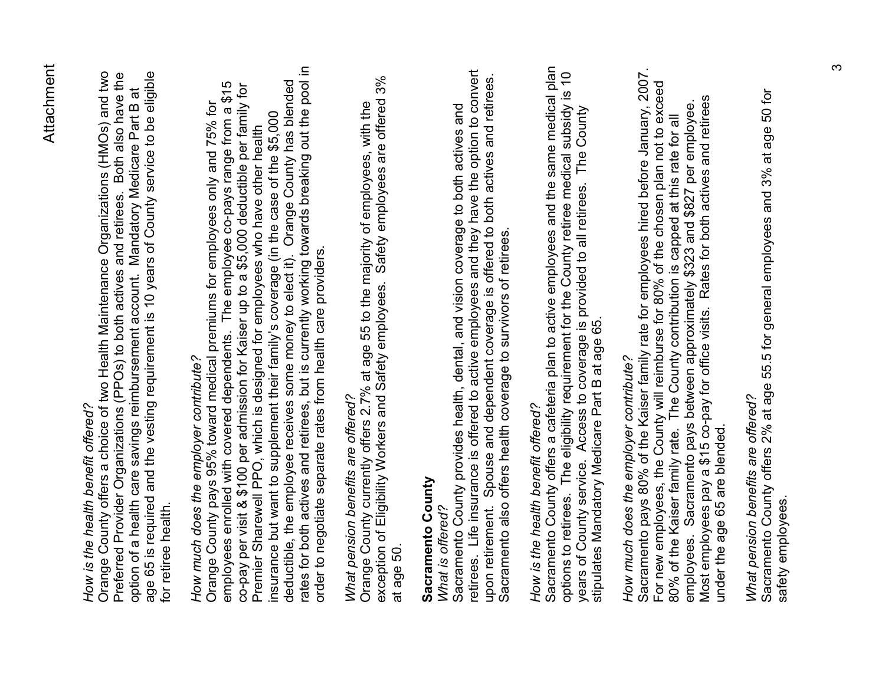### *How is the health benefit offered?* How is the health benefit offered?

Orange County offers a choice of two Health Maintenance Organizations (HMOs) and two age 65 is required and the vesting requirement is 10 years of County service to be eligible Preferred Provider Organizations (PPOs) to both actives and retirees. Both also have the Orange County offers a choice of two Health Maintenance Organizations (HMOs) and two age 65 is required and the vesting requirement is 10 years of County service to be eligible Preferred Provider Organizations (PPOs) to both actives and retirees. Both also have the option of a health care savings reimbursement account. Mandatory Medicare Part B at option of a health care savings reimbursement account. Mandatory Medicare Part B at for retiree health. for retiree health.

# *How much does the employer contribute?*  How much does the employer contribute?

rates for both actives and retirees, but is currently working towards breaking out the pool in rates for both actives and retirees, but is currently working towards breaking out the pool in<br>order to negotiate separate rates from health care providers. deductible, the employee receives some money to elect it). Orange County has blended employees enrolled with covered dependents. The employee co-pays range from a \$15 employees enrolled with covered dependents. The employee co-pays range from a \$15<br>co-pay per visit & \$100 per admission for Kaiser up to a \$5,000 deductible per family for co-pay per visit & \$100 per admission for Kaiser up to a \$5,000 deductible per family for deductible, the employee receives some money to elect it). Orange County has blended Orange County pays 95% toward medical premiums for employees only and 75% for Orange County pays 95% toward medical premiums for employees only and 75% for insurance but want to supplement their family's coverage (in the case of the \$5,000 insurance but want to supplement their family's coverage (in the case of the \$5,000 Premier Sharewell PPO, which is designed for employees who have other health Premier Sharewell PPO, which is designed for employees who have other health order to negotiate separate rates from health care providers.

### What pension benefits are offered? *What pension benefits are offered?*

exception of Eligibility Workers and Safety employees. Safety employees are offered 3% exception of Eligibility Workers and Safety employees. Safety employees are offered 3% Orange County currently offers 2.7% at age 55 to the majority of employees, with the Orange County currently offers 2.7% at age 55 to the majority of employees, with the at age 50.

#### **Sacramento County**  Sacramento County

#### *What is offered?*  What is offered?

retirees. Life insurance is offered to active employees and they have the option to convert retirees. Life insurance is offered to active employees and they have the option to convert upon retirement. Spouse and dependent coverage is offered to both actives and retirees. upon retirement. Spouse and dependent coverage is offered to both actives and retirees. Sacramento County provides health, dental, and vision coverage to both actives and Sacramento County provides health, dental, and vision coverage to both actives and Sacramento also offers health coverage to survivors of retirees. Sacramento also offers health coverage to survivors of retirees.

### How is the health benefit offered? *How is the health benefit offered?*

Sacramento County offers a cafeteria plan to active employees and the same medical plan Sacramento County offers a cafeteria plan to active employees and the same medical plan options to retirees. The eligibility requirement for the County retiree medical subsidy is 10<br>years of County service. Access to coverage is provided to all retirees. The County<br>stipulates Mandatory Medicare Part B at age options to retirees. The eligibility requirement for the County retiree medical subsidy is 10 years of County service. Access to coverage is provided to all retirees. The County stipulates Mandatory Medicare Part B at age 65.

# *How much does the employer contribute?*  How much does the employer contribute?

Sacramento pays 80% of the Kaiser family rate for employees hired before January, 2007. Sacramento pays 80% of the Kaiser family rate for employees hired before January, 2007. For new employees, the County will reimburse for 80% of the chosen plan not to exceed For new employees, the County will reimburse for 80% of the chosen plan not to exceed Most employees pay a \$15 co-pay for office visits. Rates for both actives and retirees Most employees pay a \$15 co-pay for office visits. Rates for both actives and retirees employees. Sacramento pays between approximately \$323 and \$827 per employee. employees. Sacramento pays between approximately \$323 and \$827 per employee. 80% of the Kaiser family rate. The County contribution is capped at this rate for all 80% of the Kaiser family rate. The County contribution is capped at this rate for all under the age 65 are blended. under the age 65 are blended.

### What pension benefits are offered? *What pension benefits are offered?*

Sacramento County offers 2% at age 55.5 for general employees and 3% at age 50 for Sacramento County offers 2% at age 55.5 for general employees and 3% at age 50 for safety employees.safety employees.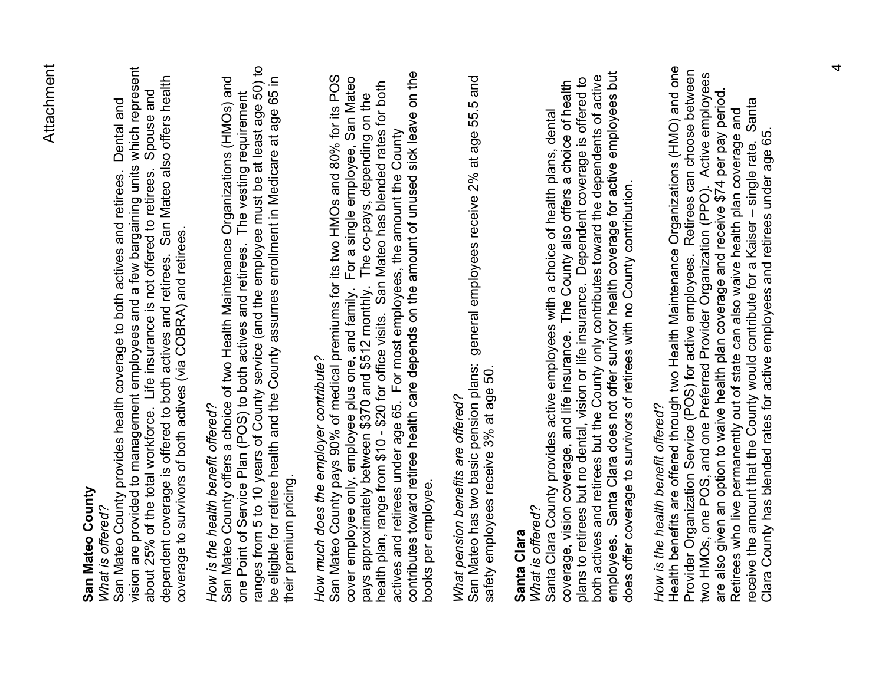#### **San Mateo County**  San Mateo County

#### *What is offered?*  What is offered?

vision are provided to management employees and a few bargaining units which represent vision are provided to management employees and a few bargaining units which represent<br>about 25% of the total workforce. Life insurance is not offered to retirees. Spouse and dependent coverage is offered to both actives and retirees. San Mateo also offers health dependent coverage is offered to both actives and retirees. San Mateo also offers health about 25% of the total workforce. Life insurance is not offered to retirees. Spouse and San Mateo County provides health coverage to both actives and retirees. Dental and Dental and San Mateo County provides health coverage to both actives and retirees. coverage to survivors of both actives (via COBRA) and retirees. coverage to survivors of both actives (via COBRA) and retirees.

### How is the health benefit offered? *How is the health benefit offered?*

ranges from 5 to 10 years of County service (and the employee must be at least age 50) to one Point of Service Plan (POS) to both actives and retirees. The vesting requirement<br>ranges from 5 to 10 years of County service (and the employee must be at least age 50) to San Mateo County offers a choice of two Health Maintenance Organizations (HMOs) and be eligible for retiree health and the County assumes enrollment in Medicare at age 65 in San Mateo County offers a choice of two Health Maintenance Organizations (HMOs) and be eligible for retiree health and the County assumes enrollment in Medicare at age 65 in one Point of Service Plan (POS) to both actives and retirees. The vesting requirement their premium pricing. their premium pricing.

# *How much does the employer contribute?*  How much does the employer contribute?

contributes toward retiree health care depends on the amount of unused sick leave on the contributes toward retiree health care depends on the amount of unused sick leave on the San Mateo County pays 90% of medical premiums for its two HMOs and 80% for its POS San Mateo County pays 90% of medical premiums for its two HMOs and 80% for its POS cover employee only, employee plus one, and family. For a single employee, San Mateo cover employee only, employee plus one, and family. For a single employee, San Mateo<br>pays approximately between \$370 and \$512 monthly. The co-pays, depending on the health plan, range from \$10 - \$20 for office visits. San Mateo has blended rates for both health plan, range from \$10 - \$20 for office visits. San Mateo has blended rates for both pays approximately between \$370 and \$512 monthly. The co-pays, depending on the actives and retirees under age 65. For most employees, the amount the County actives and retirees under age 65. For most employees, the amount the County books per employee. books per employee.

### What pension benefits are offered? *What pension benefits are offered?*

San Mateo has two basic pension plans: general employees receive 2% at age 55.5 and San Mateo has two basic pension plans: general employees receive 2% at age 55.5 and safety employees receive 3% at age 50. safety employees receive 3% at age 50.

#### **Santa Clara**  Santa Clara

#### What is offered? *What is offered?*

employees. Santa Clara does not offer survivor health coverage for active employees but Santa Clara does not offer survivor health coverage for active employees but both actives and retirees but the County only contributes toward the dependents of active both actives and retirees but the County only contributes toward the dependents of active plans to retirees but no dental, vision or life insurance. Dependent coverage is offered to plans to retirees but no dental, vision or life insurance. Dependent coverage is offered to coverage, vision coverage, and life insurance. The County also offers a choice of health coverage, vision coverage, and life insurance. The County also offers a choice of health Santa Clara County provides active employees with a choice of health plans, dental Santa Clara County provides active employees with a choice of health plans, dental does offer coverage to survivors of retirees with no County contribution. does offer coverage to survivors of retirees with no County contribution. employees.

### *How is the health benefit offered?* How is the health benefit offered?

Health benefits are offered through two Health Maintenance Organizations (HMO) and one Health benefits are offered through two Health Maintenance Organizations (HMO) and one Provider Organization Service (POS) for active employees. Retirees can choose between Provider Organization Service (POS) for active employees. Retirees can choose between two HMOs, one POS, and one Preferred Provider Organization (PPO). Active employees two HMOs, one POS, and one Preferred Provider Organization (PPO). Active employees are also given an option to waive health plan coverage and receive \$74 per pay period. are also given an option to waive health plan coverage and receive \$74 per pay period. Santa receive the amount that the County would contribute for a Kaiser – single rate. Santa Retirees who live permanently out of state can also waive health plan coverage and Retirees who live permanently out of state can also waive health plan coverage and<br>receive the amount that the County would contribute for a Kaiser – single rate. Sant Clara County has blended rates for active employees and retirees under age 65. Clara County has blended rates for active employees and retirees under age 65.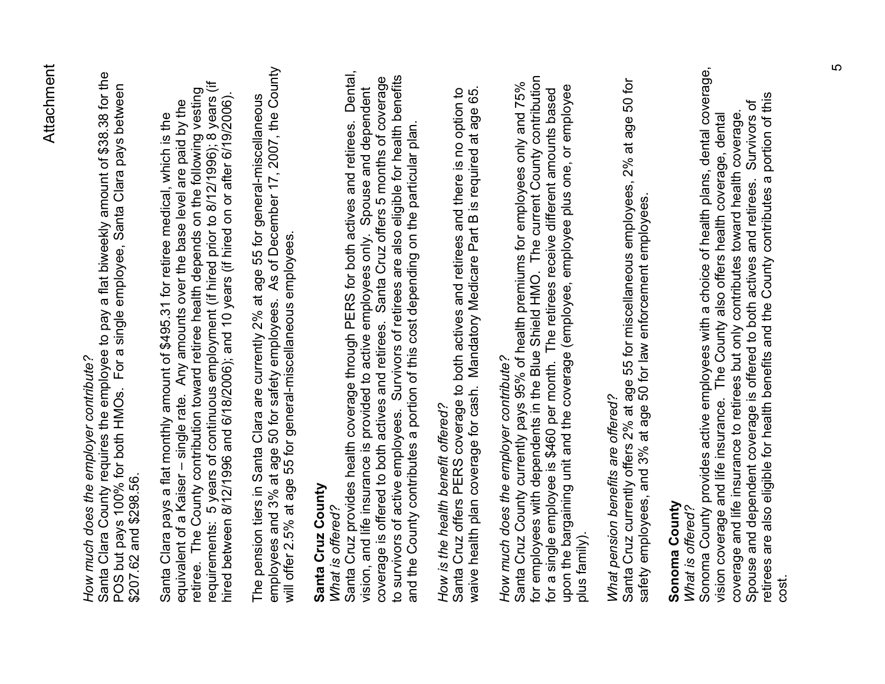## *How much does the employer contribute?*  How much does the employer contribute?

Santa Clara County requires the employee to pay a flat biweekly amount of \$38.38 for the Santa Clara County requires the employee to pay a flat biweekly amount of \$38.38 for the<br>POS but pays 100% for both HMOs. For a single employee, Santa Clara pays between POS but pays 100% for both HMOs. For a single employee, Santa Clara pays between \$207.62 and \$298.56. \$207.62 and \$298.56.

requirements: 5 years of continuous employment (if hired prior to 8/12/1996); 8 years (if requirements: 5 years of continuous employment (if hired prior to 8/12/1996); 8 years (if retiree. The County contribution toward retiree health depends on the following vesting retiree. The County contribution toward retiree health depends on the following vesting hired between 8/12/1996 and 6/18/2006); and 10 years (if hired on or after 6/19/2006). hired between 8/12/1996 and 6/18/2006); and 10 years (if hired on or after 6/19/2006). equivalent of a Kaiser – single rate. Any amounts over the base level are paid by the equivalent of a Kaiser - single rate. Any amounts over the base level are paid by the Santa Clara pays a flat monthly amount of \$495.31 for retiree medical, which is the Santa Clara pays a flat monthly amount of \$495.31 for retiree medical, which is the

employees and 3% at age 50 for safety employees. As of December 17, 2007, the County employees and 3% at age 50 for safety employees. As of December 17, 2007, the County The pension tiers in Santa Clara are currently 2% at age 55 for general-miscellaneous The pension tiers in Santa Clara are currently 2% at age 55 for general-miscellaneous will offer 2.5% at age 55 for general-miscellaneous employees. will offer 2.5% at age 55 for general-miscellaneous employees.

#### **Santa Cruz County**  Santa Cruz County

#### *What is offered?*  What is offered?

Santa Cruz provides health coverage through PERS for both actives and retirees. Dental, Santa Cruz provides health coverage through PERS for both actives and retirees. Dental, to survivors of active employees. Survivors of retirees are also eligible for health benefits coverage is offered to both actives and retirees. Santa Cruz offers 5 months of coverage to survivors of active employees. Survivors of retirees are also eligible for health benefits coverage is offered to both actives and retirees. Santa Cruz offers 5 months of coverage vision, and life insurance is provided to active employees only. Spouse and dependent Spouse and dependent and the County contributes a portion of this cost depending on the particular plan. and the County contributes a portion of this cost depending on the particular plan. vision, and life insurance is provided to active employees only.

### How is the health benefit offered? *How is the health benefit offered?*

waive health plan coverage for cash. Mandatory Medicare Part B is required at age 65. Santa Cruz offers PERS coverage to both actives and retirees and there is no option to Santa Cruz offers PERS coverage to both actives and retirees and there is no option to waive health plan coverage for cash. Mandatory Medicare Part B is required at age 65.

# How much does the employer contribute? *How much does the employer contribute?*

for employees with dependents in the Blue Shield HMO. The current County contribution Santa Cruz County currently pays 95% of health premiums for employees only and 75%<br>for employees with dependents in the Blue Shield HMO. The current County contribution Santa Cruz County currently pays 95% of health premiums for employees only and 75% upon the bargaining unit and the coverage (employee, employee plus one, or employee upon the bargaining unit and the coverage (employee, employee plus one, or employee for a single employee is \$460 per month. The retirees receive different amounts based for a single employee is \$460 per month. The retirees receive different amounts based plus family). plus family).

### What pension benefits are offered? *What pension benefits are offered?*

Santa Cruz currently offers 2% at age 55 for miscellaneous employees, 2% at age 50 for Santa Cruz currently offers 2% at age 55 for miscellaneous employees, 2% at age 50 for safety employees, and 3% at age 50 for law enforcement employees. safety employees, and 3% at age 50 for law enforcement employees.

#### **Sonoma County**  Sonoma County *What is offered?*  What is offered?

Sonoma County provides active employees with a choice of health plans, dental coverage, Sonoma County provides active employees with a choice of health plans, dental coverage, coverage and life insurance to retirees but only contributes toward health coverage. vision coverage and life insurance. The County also offers health coverage, dental vision coverage and life insurance. The County also offers health coverage, dental coverage and life insurance to retirees but only contributes toward health coverage.

retirees are also eligible for health benefits and the County contributes a portion of this retirees are also eligible for health benefits and the County contributes a portion of this Spouse and dependent coverage is offered to both actives and retirees. Survivors of Spouse and dependent coverage is offered to both actives and retirees. Survivors of cost.